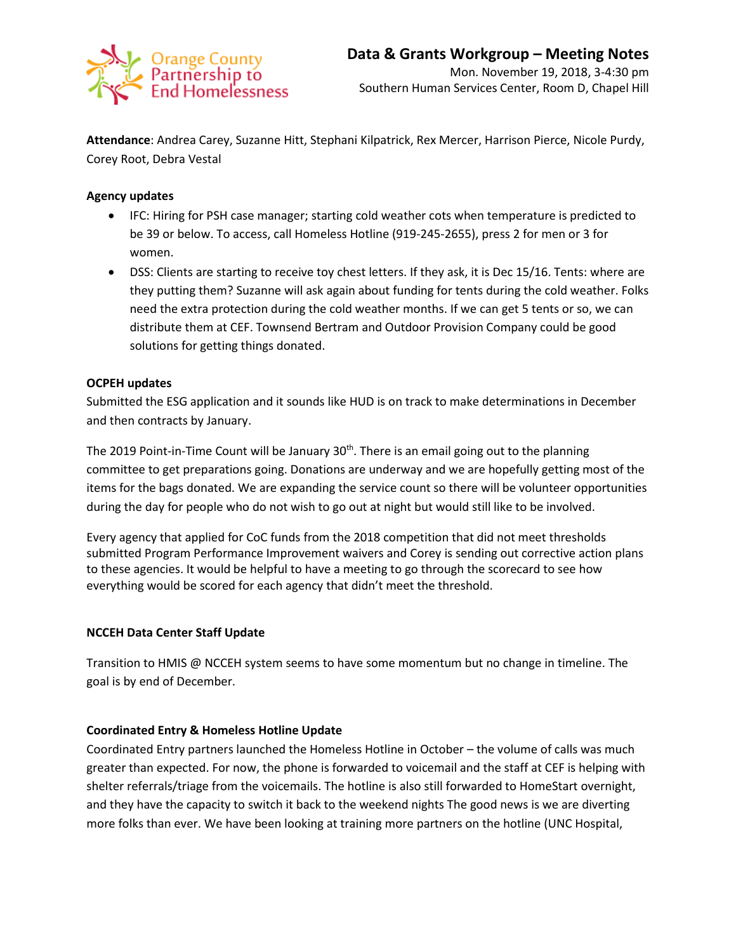

**Attendance**: Andrea Carey, Suzanne Hitt, Stephani Kilpatrick, Rex Mercer, Harrison Pierce, Nicole Purdy, Corey Root, Debra Vestal

# **Agency updates**

- IFC: Hiring for PSH case manager; starting cold weather cots when temperature is predicted to be 39 or below. To access, call Homeless Hotline (919-245-2655), press 2 for men or 3 for women.
- DSS: Clients are starting to receive toy chest letters. If they ask, it is Dec 15/16. Tents: where are they putting them? Suzanne will ask again about funding for tents during the cold weather. Folks need the extra protection during the cold weather months. If we can get 5 tents or so, we can distribute them at CEF. Townsend Bertram and Outdoor Provision Company could be good solutions for getting things donated.

## **OCPEH updates**

Submitted the ESG application and it sounds like HUD is on track to make determinations in December and then contracts by January.

The 2019 Point-in-Time Count will be January 30<sup>th</sup>. There is an email going out to the planning committee to get preparations going. Donations are underway and we are hopefully getting most of the items for the bags donated. We are expanding the service count so there will be volunteer opportunities during the day for people who do not wish to go out at night but would still like to be involved.

Every agency that applied for CoC funds from the 2018 competition that did not meet thresholds submitted Program Performance Improvement waivers and Corey is sending out corrective action plans to these agencies. It would be helpful to have a meeting to go through the scorecard to see how everything would be scored for each agency that didn't meet the threshold.

## **NCCEH Data Center Staff Update**

Transition to HMIS @ NCCEH system seems to have some momentum but no change in timeline. The goal is by end of December.

## **Coordinated Entry & Homeless Hotline Update**

Coordinated Entry partners launched the Homeless Hotline in October – the volume of calls was much greater than expected. For now, the phone is forwarded to voicemail and the staff at CEF is helping with shelter referrals/triage from the voicemails. The hotline is also still forwarded to HomeStart overnight, and they have the capacity to switch it back to the weekend nights The good news is we are diverting more folks than ever. We have been looking at training more partners on the hotline (UNC Hospital,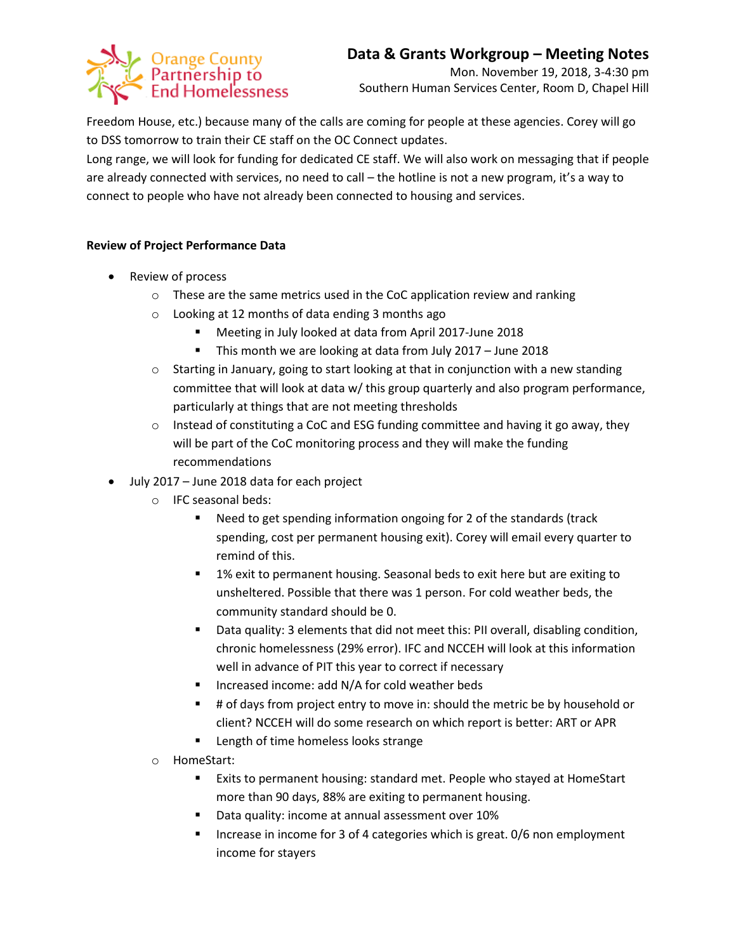# Orange County<br>Partnership to<br>End Homelessness

# **Data & Grants Workgroup – Meeting Notes**

Mon. November 19, 2018, 3-4:30 pm Southern Human Services Center, Room D, Chapel Hill

Freedom House, etc.) because many of the calls are coming for people at these agencies. Corey will go to DSS tomorrow to train their CE staff on the OC Connect updates.

Long range, we will look for funding for dedicated CE staff. We will also work on messaging that if people are already connected with services, no need to call – the hotline is not a new program, it's a way to connect to people who have not already been connected to housing and services.

# **Review of Project Performance Data**

- Review of process
	- o These are the same metrics used in the CoC application review and ranking
	- o Looking at 12 months of data ending 3 months ago
		- Meeting in July looked at data from April 2017-June 2018
		- This month we are looking at data from July 2017 June 2018
	- $\circ$  Starting in January, going to start looking at that in conjunction with a new standing committee that will look at data w/ this group quarterly and also program performance, particularly at things that are not meeting thresholds
	- $\circ$  Instead of constituting a CoC and ESG funding committee and having it go away, they will be part of the CoC monitoring process and they will make the funding recommendations
- July 2017 June 2018 data for each project
	- o IFC seasonal beds:
		- Need to get spending information ongoing for 2 of the standards (track spending, cost per permanent housing exit). Corey will email every quarter to remind of this.
		- 1% exit to permanent housing. Seasonal beds to exit here but are exiting to unsheltered. Possible that there was 1 person. For cold weather beds, the community standard should be 0.
		- Data quality: 3 elements that did not meet this: PII overall, disabling condition, chronic homelessness (29% error). IFC and NCCEH will look at this information well in advance of PIT this year to correct if necessary
		- Increased income: add N/A for cold weather beds
		- # of days from project entry to move in: should the metric be by household or client? NCCEH will do some research on which report is better: ART or APR
		- **Length of time homeless looks strange**
	- o HomeStart:
		- Exits to permanent housing: standard met. People who stayed at HomeStart more than 90 days, 88% are exiting to permanent housing.
		- Data quality: income at annual assessment over 10%
		- **Increase in income for 3 of 4 categories which is great. 0/6 non employment** income for stayers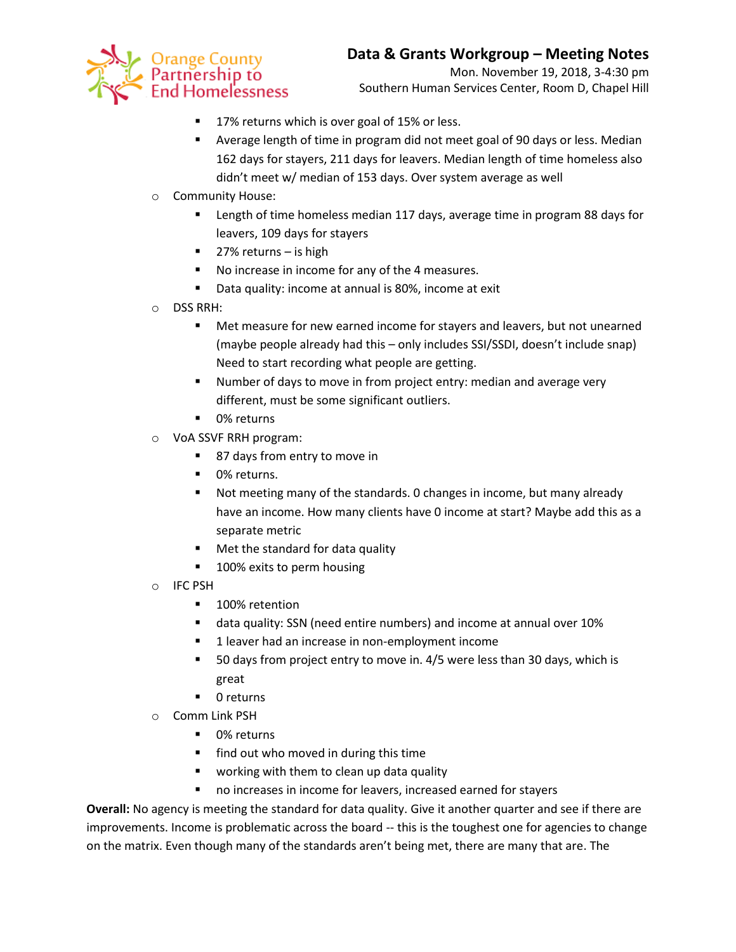

Mon. November 19, 2018, 3-4:30 pm Southern Human Services Center, Room D, Chapel Hill

- 17% returns which is over goal of 15% or less.
- Average length of time in program did not meet goal of 90 days or less. Median 162 days for stayers, 211 days for leavers. Median length of time homeless also didn't meet w/ median of 153 days. Over system average as well
- o Community House:
	- **EXECTE 118** Length of time homeless median 117 days, average time in program 88 days for leavers, 109 days for stayers
	- 27% returns is high
	- No increase in income for any of the 4 measures.
	- **Data quality: income at annual is 80%, income at exit**
- o DSS RRH:
	- Met measure for new earned income for stayers and leavers, but not unearned (maybe people already had this – only includes SSI/SSDI, doesn't include snap) Need to start recording what people are getting.
	- **Number of days to move in from project entry: median and average very** different, must be some significant outliers.
	- 0% returns
- o VoA SSVF RRH program:
	- 87 days from entry to move in
	- **0% returns.**
	- Not meeting many of the standards. 0 changes in income, but many already have an income. How many clients have 0 income at start? Maybe add this as a separate metric
	- **Met the standard for data quality**
	- 100% exits to perm housing
- o IFC PSH
	- **100% retention**
	- data quality: SSN (need entire numbers) and income at annual over 10%
	- **1** leaver had an increase in non-employment income
	- 50 days from project entry to move in. 4/5 were less than 30 days, which is great
	- 0 returns
- o Comm Link PSH
	- 0% returns
	- **find out who moved in during this time**
	- **•** working with them to clean up data quality
	- no increases in income for leavers, increased earned for stayers

**Overall:** No agency is meeting the standard for data quality. Give it another quarter and see if there are improvements. Income is problematic across the board -- this is the toughest one for agencies to change on the matrix. Even though many of the standards aren't being met, there are many that are. The